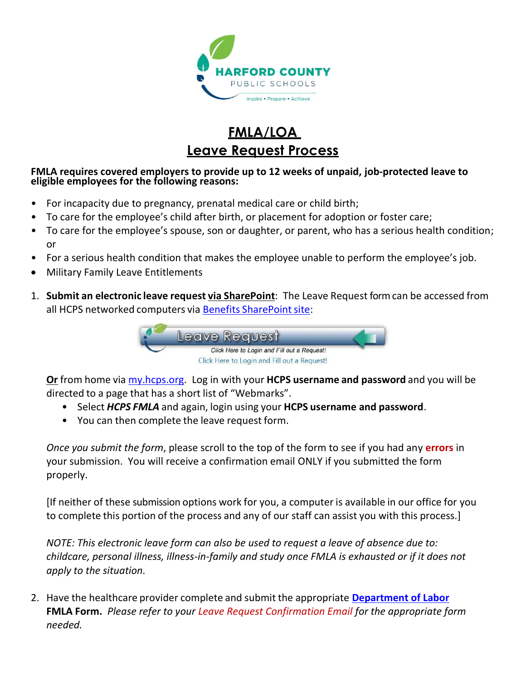

# **FMLA/LOA Leave Request Process**

#### **FMLA requires covered employers to provide up to 12 weeks of unpaid, job-protected leave to eligible employees for the following reasons:**

- For incapacity due to pregnancy, prenatal medical care or child birth;
- To care for the employee's child after birth, or placement for adoption or foster care;
- To care for the employee's spouse, son or daughter, or parent, who has a serious health condition; or
- For a serious health condition that makes the employee unable to perform the employee's job.
- Military Family Leave Entitlements
- 1. **Submit an electronic leave request via SharePoint**: The Leave Request form can be accessed from all HCPS networked computers via Benefits SharePoint site:



**Or** from home via [my.hcps.org.](https://my.hcps.org/) Log in with your **HCPS username and password** and you will be directed to a page that has a short list of "Webmarks".

- Select *HCPS FMLA* and again, login using your **HCPS username and password**.
- You can then complete the leave request form.

*Once you submit the form*, please scroll to the top of the form to see if you had any **errors** in your submission. You will receive a confirmation email ONLY if you submitted the form properly.

[If neither of these submission options work for you, a computer is available in our office for you to complete this portion of the process and any of our staff can assist you with this process.]

*NOTE: This electronic leave form can also be used to request a leave of absence due to: childcare, personal illness, illness-in-family and study once FMLA is exhausted or if it does not apply to the situation.*

2. Have the healthcare provider complete and submit the appropriate **[Department of Labor](https://www.dol.gov/agencies/whd/fmla/forms) FMLA Form.** *Please refer to your Leave Request Confirmation Email for the appropriate form needed.*